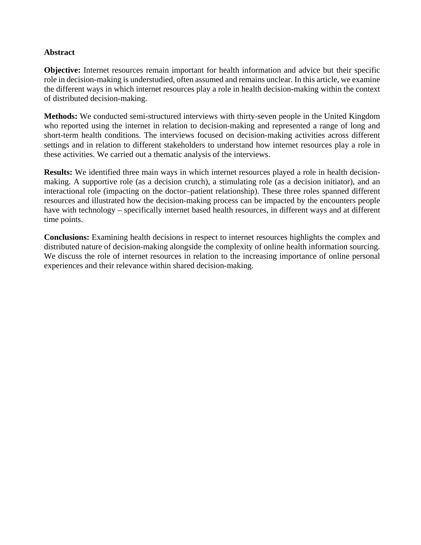## **Abstract**

**Objective:** Internet resources remain important for health information and advice but their specific role in decision-making is understudied, often assumed and remains unclear. In this article, we examine the different ways in which internet resources play a role in health decision-making within the context of distributed decision-making.

**Methods:** We conducted semi-structured interviews with thirty-seven people in the United Kingdom who reported using the internet in relation to decision-making and represented a range of long and short-term health conditions. The interviews focused on decision-making activities across different settings and in relation to different stakeholders to understand how internet resources play a role in these activities. We carried out a thematic analysis of the interviews.

**Results:** We identified three main ways in which internet resources played a role in health decisionmaking. A supportive role (as a decision crutch), a stimulating role (as a decision initiator), and an interactional role (impacting on the doctor–patient relationship). These three roles spanned different resources and illustrated how the decision-making process can be impacted by the encounters people have with technology – specifically internet based health resources, in different ways and at different time points.

**Conclusions:** Examining health decisions in respect to internet resources highlights the complex and distributed nature of decision-making alongside the complexity of online health information sourcing. We discuss the role of internet resources in relation to the increasing importance of online personal experiences and their relevance within shared decision-making.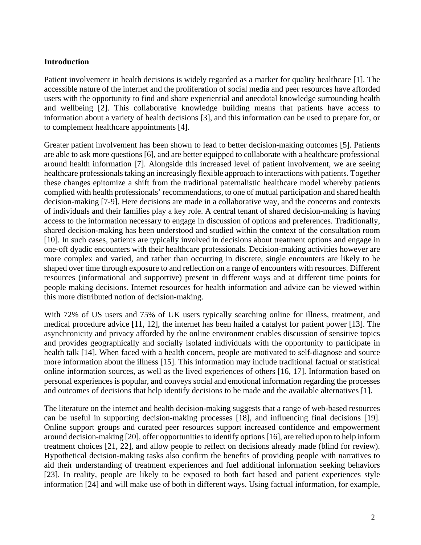## **Introduction**

Patient involvement in health decisions is widely regarded as a marker for quality healthcare [1]. The accessible nature of the internet and the proliferation of social media and peer resources have afforded users with the opportunity to find and share experiential and anecdotal knowledge surrounding health and wellbeing [2]. This collaborative knowledge building means that patients have access to information about a variety of health decisions [3], and this information can be used to prepare for, or to complement healthcare appointments [4].

Greater patient involvement has been shown to lead to better decision-making outcomes [5]. Patients are able to ask more questions [6], and are better equipped to collaborate with a healthcare professional around health information [7]. Alongside this increased level of patient involvement, we are seeing healthcare professionals taking an increasingly flexible approach to interactions with patients. Together these changes epitomize a shift from the traditional paternalistic healthcare model whereby patients complied with health professionals' recommendations, to one of mutual participation and shared health decision-making [7-9]. Here decisions are made in a collaborative way, and the concerns and contexts of individuals and their families play a key role. A central tenant of shared decision-making is having access to the information necessary to engage in discussion of options and preferences. Traditionally, shared decision-making has been understood and studied within the context of the consultation room [10]. In such cases, patients are typically involved in decisions about treatment options and engage in one-off dyadic encounters with their healthcare professionals. Decision-making activities however are more complex and varied, and rather than occurring in discrete, single encounters are likely to be shaped over time through exposure to and reflection on a range of encounters with resources. Different resources (informational and supportive) present in different ways and at different time points for people making decisions. Internet resources for health information and advice can be viewed within this more distributed notion of decision-making.

With 72% of US users and 75% of UK users typically searching online for illness, treatment, and medical procedure advice [11, 12], the internet has been hailed a catalyst for patient power [13]. The asynchronicity and privacy afforded by the online environment enables discussion of sensitive topics and provides geographically and socially isolated individuals with the opportunity to participate in health talk [14]. When faced with a health concern, people are motivated to self-diagnose and source more information about the illness [15]. This information may include traditional factual or statistical online information sources, as well as the lived experiences of others [16, 17]. Information based on personal experiences is popular, and conveys social and emotional information regarding the processes and outcomes of decisions that help identify decisions to be made and the available alternatives [1].

The literature on the internet and health decision-making suggests that a range of web-based resources can be useful in supporting decision-making processes [18], and influencing final decisions [19]. Online support groups and curated peer resources support increased confidence and empowerment around decision-making [20], offer opportunities to identify options [16], are relied upon to help inform treatment choices [21, 22], and allow people to reflect on decisions already made (blind for review). Hypothetical decision-making tasks also confirm the benefits of providing people with narratives to aid their understanding of treatment experiences and fuel additional information seeking behaviors [23]. In reality, people are likely to be exposed to both fact based and patient experiences style information [24] and will make use of both in different ways. Using factual information, for example,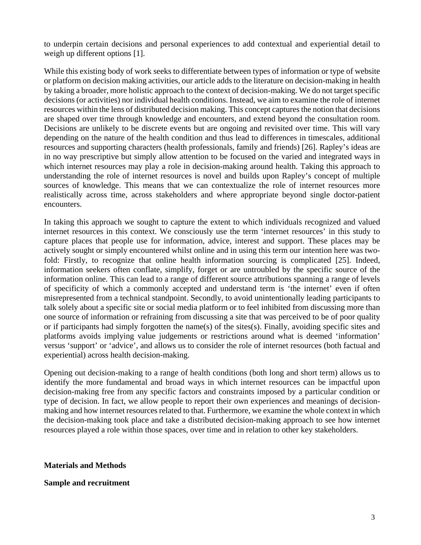to underpin certain decisions and personal experiences to add contextual and experiential detail to weigh up different options [1].

While this existing body of work seeks to differentiate between types of information or type of website or platform on decision making activities, our article adds to the literature on decision-making in health by taking a broader, more holistic approach to the context of decision-making. We do not target specific decisions (or activities) nor individual health conditions. Instead, we aim to examine the role of internet resources within the lens of distributed decision making. This concept captures the notion that decisions are shaped over time through knowledge and encounters, and extend beyond the consultation room. Decisions are unlikely to be discrete events but are ongoing and revisited over time. This will vary depending on the nature of the health condition and thus lead to differences in timescales, additional resources and supporting characters (health professionals, family and friends) [26]. Rapley's ideas are in no way prescriptive but simply allow attention to be focused on the varied and integrated ways in which internet resources may play a role in decision-making around health. Taking this approach to understanding the role of internet resources is novel and builds upon Rapley's concept of multiple sources of knowledge. This means that we can contextualize the role of internet resources more realistically across time, across stakeholders and where appropriate beyond single doctor-patient encounters.

In taking this approach we sought to capture the extent to which individuals recognized and valued internet resources in this context. We consciously use the term 'internet resources' in this study to capture places that people use for information, advice, interest and support. These places may be actively sought or simply encountered whilst online and in using this term our intention here was twofold: Firstly, to recognize that online health information sourcing is complicated [25]. Indeed, information seekers often conflate, simplify, forget or are untroubled by the specific source of the information online. This can lead to a range of different source attributions spanning a range of levels of specificity of which a commonly accepted and understand term is 'the internet' even if often misrepresented from a technical standpoint. Secondly, to avoid unintentionally leading participants to talk solely about a specific site or social media platform or to feel inhibited from discussing more than one source of information or refraining from discussing a site that was perceived to be of poor quality or if participants had simply forgotten the name(s) of the sites(s). Finally, avoiding specific sites and platforms avoids implying value judgements or restrictions around what is deemed 'information' versus 'support' or 'advice', and allows us to consider the role of internet resources (both factual and experiential) across health decision-making.

Opening out decision-making to a range of health conditions (both long and short term) allows us to identify the more fundamental and broad ways in which internet resources can be impactful upon decision-making free from any specific factors and constraints imposed by a particular condition or type of decision. In fact, we allow people to report their own experiences and meanings of decisionmaking and how internet resources related to that. Furthermore, we examine the whole context in which the decision-making took place and take a distributed decision-making approach to see how internet resources played a role within those spaces, over time and in relation to other key stakeholders.

#### **Materials and Methods**

#### **Sample and recruitment**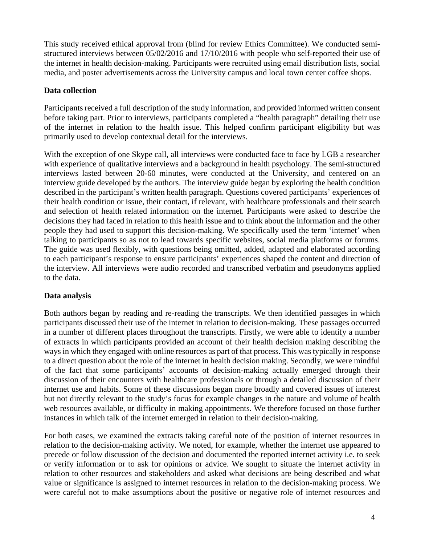This study received ethical approval from (blind for review Ethics Committee). We conducted semistructured interviews between 05/02/2016 and 17/10/2016 with people who self-reported their use of the internet in health decision-making. Participants were recruited using email distribution lists, social media, and poster advertisements across the University campus and local town center coffee shops.

# **Data collection**

Participants received a full description of the study information, and provided informed written consent before taking part. Prior to interviews, participants completed a "health paragraph" detailing their use of the internet in relation to the health issue. This helped confirm participant eligibility but was primarily used to develop contextual detail for the interviews.

With the exception of one Skype call, all interviews were conducted face to face by LGB a researcher with experience of qualitative interviews and a background in health psychology. The semi-structured interviews lasted between 20-60 minutes, were conducted at the University, and centered on an interview guide developed by the authors. The interview guide began by exploring the health condition described in the participant's written health paragraph. Questions covered participants' experiences of their health condition or issue, their contact, if relevant, with healthcare professionals and their search and selection of health related information on the internet. Participants were asked to describe the decisions they had faced in relation to this health issue and to think about the information and the other people they had used to support this decision-making. We specifically used the term 'internet' when talking to participants so as not to lead towards specific websites, social media platforms or forums. The guide was used flexibly, with questions being omitted, added, adapted and elaborated according to each participant's response to ensure participants' experiences shaped the content and direction of the interview. All interviews were audio recorded and transcribed verbatim and pseudonyms applied to the data.

# **Data analysis**

Both authors began by reading and re-reading the transcripts. We then identified passages in which participants discussed their use of the internet in relation to decision-making. These passages occurred in a number of different places throughout the transcripts. Firstly, we were able to identify a number of extracts in which participants provided an account of their health decision making describing the ways in which they engaged with online resources as part of that process. This was typically in response to a direct question about the role of the internet in health decision making. Secondly, we were mindful of the fact that some participants' accounts of decision-making actually emerged through their discussion of their encounters with healthcare professionals or through a detailed discussion of their internet use and habits. Some of these discussions began more broadly and covered issues of interest but not directly relevant to the study's focus for example changes in the nature and volume of health web resources available, or difficulty in making appointments. We therefore focused on those further instances in which talk of the internet emerged in relation to their decision-making.

For both cases, we examined the extracts taking careful note of the position of internet resources in relation to the decision-making activity. We noted, for example, whether the internet use appeared to precede or follow discussion of the decision and documented the reported internet activity i.e. to seek or verify information or to ask for opinions or advice. We sought to situate the internet activity in relation to other resources and stakeholders and asked what decisions are being described and what value or significance is assigned to internet resources in relation to the decision-making process. We were careful not to make assumptions about the positive or negative role of internet resources and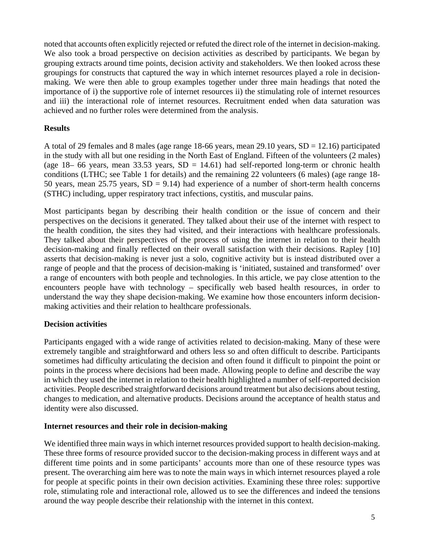noted that accounts often explicitly rejected or refuted the direct role of the internet in decision-making. We also took a broad perspective on decision activities as described by participants. We began by grouping extracts around time points, decision activity and stakeholders. We then looked across these groupings for constructs that captured the way in which internet resources played a role in decisionmaking. We were then able to group examples together under three main headings that noted the importance of i) the supportive role of internet resources ii) the stimulating role of internet resources and iii) the interactional role of internet resources. Recruitment ended when data saturation was achieved and no further roles were determined from the analysis.

# **Results**

A total of 29 females and 8 males (age range 18-66 years, mean 29.10 years, SD = 12.16) participated in the study with all but one residing in the North East of England. Fifteen of the volunteers (2 males) (age 18– 66 years, mean 33.53 years,  $SD = 14.61$ ) had self-reported long-term or chronic health conditions (LTHC; see Table 1 for details) and the remaining 22 volunteers (6 males) (age range 18- 50 years, mean 25.75 years,  $SD = 9.14$ ) had experience of a number of short-term health concerns (STHC) including, upper respiratory tract infections, cystitis, and muscular pains.

Most participants began by describing their health condition or the issue of concern and their perspectives on the decisions it generated. They talked about their use of the internet with respect to the health condition, the sites they had visited, and their interactions with healthcare professionals. They talked about their perspectives of the process of using the internet in relation to their health decision-making and finally reflected on their overall satisfaction with their decisions. Rapley [10] asserts that decision-making is never just a solo, cognitive activity but is instead distributed over a range of people and that the process of decision-making is 'initiated, sustained and transformed' over a range of encounters with both people and technologies. In this article, we pay close attention to the encounters people have with technology – specifically web based health resources, in order to understand the way they shape decision-making. We examine how those encounters inform decisionmaking activities and their relation to healthcare professionals.

## **Decision activities**

Participants engaged with a wide range of activities related to decision-making. Many of these were extremely tangible and straightforward and others less so and often difficult to describe. Participants sometimes had difficulty articulating the decision and often found it difficult to pinpoint the point or points in the process where decisions had been made. Allowing people to define and describe the way in which they used the internet in relation to their health highlighted a number of self-reported decision activities. People described straightforward decisions around treatment but also decisions about testing, changes to medication, and alternative products. Decisions around the acceptance of health status and identity were also discussed.

## **Internet resources and their role in decision-making**

We identified three main ways in which internet resources provided support to health decision-making. These three forms of resource provided succor to the decision-making process in different ways and at different time points and in some participants' accounts more than one of these resource types was present. The overarching aim here was to note the main ways in which internet resources played a role for people at specific points in their own decision activities. Examining these three roles: supportive role, stimulating role and interactional role, allowed us to see the differences and indeed the tensions around the way people describe their relationship with the internet in this context.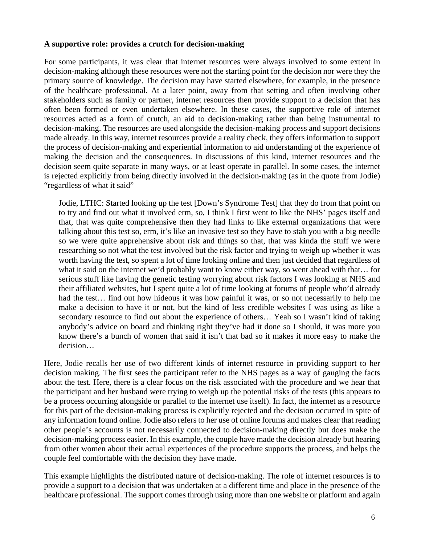#### **A supportive role: provides a crutch for decision-making**

For some participants, it was clear that internet resources were always involved to some extent in decision-making although these resources were not the starting point for the decision nor were they the primary source of knowledge. The decision may have started elsewhere, for example, in the presence of the healthcare professional. At a later point, away from that setting and often involving other stakeholders such as family or partner, internet resources then provide support to a decision that has often been formed or even undertaken elsewhere. In these cases, the supportive role of internet resources acted as a form of crutch, an aid to decision-making rather than being instrumental to decision-making. The resources are used alongside the decision-making process and support decisions made already. In this way, internet resources provide a reality check, they offers information to support the process of decision-making and experiential information to aid understanding of the experience of making the decision and the consequences. In discussions of this kind, internet resources and the decision seem quite separate in many ways, or at least operate in parallel. In some cases, the internet is rejected explicitly from being directly involved in the decision-making (as in the quote from Jodie) "regardless of what it said"

Jodie, LTHC: Started looking up the test [Down's Syndrome Test] that they do from that point on to try and find out what it involved erm, so, I think I first went to like the NHS' pages itself and that, that was quite comprehensive then they had links to like external organizations that were talking about this test so, erm, it's like an invasive test so they have to stab you with a big needle so we were quite apprehensive about risk and things so that, that was kinda the stuff we were researching so not what the test involved but the risk factor and trying to weigh up whether it was worth having the test, so spent a lot of time looking online and then just decided that regardless of what it said on the internet we'd probably want to know either way, so went ahead with that… for serious stuff like having the genetic testing worrying about risk factors I was looking at NHS and their affiliated websites, but I spent quite a lot of time looking at forums of people who'd already had the test... find out how hideous it was how painful it was, or so not necessarily to help me make a decision to have it or not, but the kind of less credible websites I was using as like a secondary resource to find out about the experience of others… Yeah so I wasn't kind of taking anybody's advice on board and thinking right they've had it done so I should, it was more you know there's a bunch of women that said it isn't that bad so it makes it more easy to make the decision…

Here, Jodie recalls her use of two different kinds of internet resource in providing support to her decision making. The first sees the participant refer to the NHS pages as a way of gauging the facts about the test. Here, there is a clear focus on the risk associated with the procedure and we hear that the participant and her husband were trying to weigh up the potential risks of the tests (this appears to be a process occurring alongside or parallel to the internet use itself). In fact, the internet as a resource for this part of the decision-making process is explicitly rejected and the decision occurred in spite of any information found online. Jodie also refers to her use of online forums and makes clear that reading other people's accounts is not necessarily connected to decision-making directly but does make the decision-making process easier. In this example, the couple have made the decision already but hearing from other women about their actual experiences of the procedure supports the process, and helps the couple feel comfortable with the decision they have made.

This example highlights the distributed nature of decision-making. The role of internet resources is to provide a support to a decision that was undertaken at a different time and place in the presence of the healthcare professional. The support comes through using more than one website or platform and again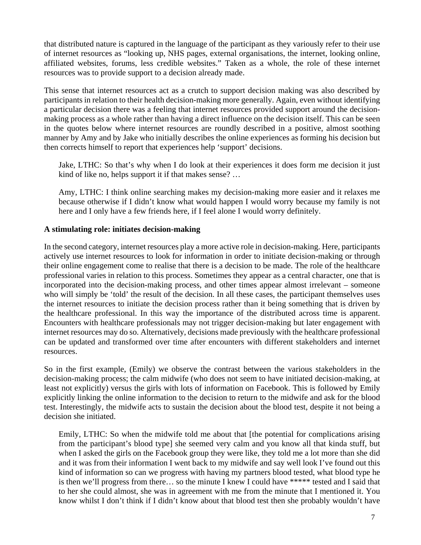that distributed nature is captured in the language of the participant as they variously refer to their use of internet resources as "looking up, NHS pages, external organisations, the internet, looking online, affiliated websites, forums, less credible websites." Taken as a whole, the role of these internet resources was to provide support to a decision already made.

This sense that internet resources act as a crutch to support decision making was also described by participants in relation to their health decision-making more generally. Again, even without identifying a particular decision there was a feeling that internet resources provided support around the decisionmaking process as a whole rather than having a direct influence on the decision itself. This can be seen in the quotes below where internet resources are roundly described in a positive, almost soothing manner by Amy and by Jake who initially describes the online experiences as forming his decision but then corrects himself to report that experiences help 'support' decisions.

Jake, LTHC: So that's why when I do look at their experiences it does form me decision it just kind of like no, helps support it if that makes sense? …

Amy, LTHC: I think online searching makes my decision-making more easier and it relaxes me because otherwise if I didn't know what would happen I would worry because my family is not here and I only have a few friends here, if I feel alone I would worry definitely.

## **A stimulating role: initiates decision-making**

In the second category, internet resources play a more active role in decision-making. Here, participants actively use internet resources to look for information in order to initiate decision-making or through their online engagement come to realise that there is a decision to be made. The role of the healthcare professional varies in relation to this process. Sometimes they appear as a central character, one that is incorporated into the decision-making process, and other times appear almost irrelevant – someone who will simply be 'told' the result of the decision. In all these cases, the participant themselves uses the internet resources to initiate the decision process rather than it being something that is driven by the healthcare professional. In this way the importance of the distributed across time is apparent. Encounters with healthcare professionals may not trigger decision-making but later engagement with internet resources may do so. Alternatively, decisions made previously with the healthcare professional can be updated and transformed over time after encounters with different stakeholders and internet resources.

So in the first example, (Emily) we observe the contrast between the various stakeholders in the decision-making process; the calm midwife (who does not seem to have initiated decision-making, at least not explicitly) versus the girls with lots of information on Facebook. This is followed by Emily explicitly linking the online information to the decision to return to the midwife and ask for the blood test. Interestingly, the midwife acts to sustain the decision about the blood test, despite it not being a decision she initiated.

Emily, LTHC: So when the midwife told me about that [the potential for complications arising from the participant's blood type] she seemed very calm and you know all that kinda stuff, but when I asked the girls on the Facebook group they were like, they told me a lot more than she did and it was from their information I went back to my midwife and say well look I've found out this kind of information so can we progress with having my partners blood tested, what blood type he is then we'll progress from there… so the minute I knew I could have \*\*\*\*\* tested and I said that to her she could almost, she was in agreement with me from the minute that I mentioned it. You know whilst I don't think if I didn't know about that blood test then she probably wouldn't have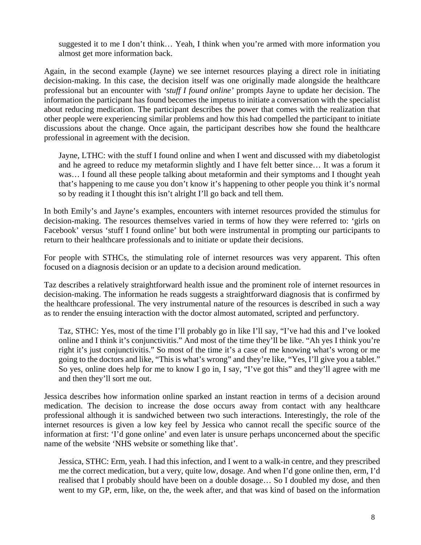suggested it to me I don't think… Yeah, I think when you're armed with more information you almost get more information back.

Again, in the second example (Jayne) we see internet resources playing a direct role in initiating decision-making. In this case, the decision itself was one originally made alongside the healthcare professional but an encounter with *'stuff I found online'* prompts Jayne to update her decision. The information the participant has found becomes the impetus to initiate a conversation with the specialist about reducing medication. The participant describes the power that comes with the realization that other people were experiencing similar problems and how this had compelled the participant to initiate discussions about the change. Once again, the participant describes how she found the healthcare professional in agreement with the decision.

Jayne, LTHC: with the stuff I found online and when I went and discussed with my diabetologist and he agreed to reduce my metaformin slightly and I have felt better since… It was a forum it was… I found all these people talking about metaformin and their symptoms and I thought yeah that's happening to me cause you don't know it's happening to other people you think it's normal so by reading it I thought this isn't alright I'll go back and tell them.

In both Emily's and Jayne's examples, encounters with internet resources provided the stimulus for decision-making. The resources themselves varied in terms of how they were referred to: 'girls on Facebook' versus 'stuff I found online' but both were instrumental in prompting our participants to return to their healthcare professionals and to initiate or update their decisions.

For people with STHCs, the stimulating role of internet resources was very apparent. This often focused on a diagnosis decision or an update to a decision around medication.

Taz describes a relatively straightforward health issue and the prominent role of internet resources in decision-making. The information he reads suggests a straightforward diagnosis that is confirmed by the healthcare professional. The very instrumental nature of the resources is described in such a way as to render the ensuing interaction with the doctor almost automated, scripted and perfunctory.

Taz, STHC: Yes, most of the time I'll probably go in like I'll say, "I've had this and I've looked online and I think it's conjunctivitis." And most of the time they'll be like. "Ah yes I think you're right it's just conjunctivitis." So most of the time it's a case of me knowing what's wrong or me going to the doctors and like, "This is what's wrong" and they're like, "Yes, I'll give you a tablet." So yes, online does help for me to know I go in, I say, "I've got this" and they'll agree with me and then they'll sort me out.

Jessica describes how information online sparked an instant reaction in terms of a decision around medication. The decision to increase the dose occurs away from contact with any healthcare professional although it is sandwiched between two such interactions. Interestingly, the role of the internet resources is given a low key feel by Jessica who cannot recall the specific source of the information at first: 'I'd gone online' and even later is unsure perhaps unconcerned about the specific name of the website 'NHS website or something like that'.

Jessica, STHC: Erm, yeah. I had this infection, and I went to a walk-in centre, and they prescribed me the correct medication, but a very, quite low, dosage. And when I'd gone online then, erm, I'd realised that I probably should have been on a double dosage… So I doubled my dose, and then went to my GP, erm, like, on the, the week after, and that was kind of based on the information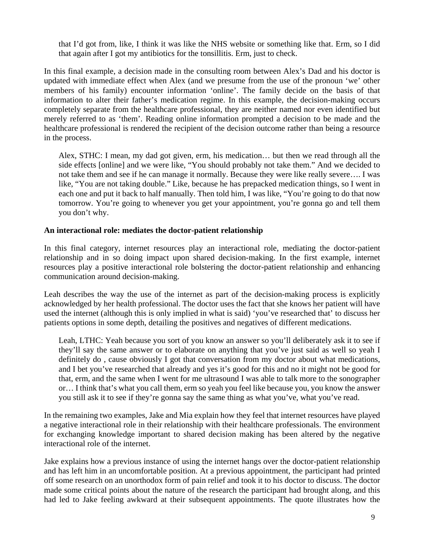that I'd got from, like, I think it was like the NHS website or something like that. Erm, so I did that again after I got my antibiotics for the tonsillitis. Erm, just to check.

In this final example, a decision made in the consulting room between Alex's Dad and his doctor is updated with immediate effect when Alex (and we presume from the use of the pronoun 'we' other members of his family) encounter information 'online'. The family decide on the basis of that information to alter their father's medication regime. In this example, the decision-making occurs completely separate from the healthcare professional, they are neither named nor even identified but merely referred to as 'them'. Reading online information prompted a decision to be made and the healthcare professional is rendered the recipient of the decision outcome rather than being a resource in the process.

Alex, STHC: I mean, my dad got given, erm, his medication… but then we read through all the side effects [online] and we were like, "You should probably not take them." And we decided to not take them and see if he can manage it normally. Because they were like really severe…. I was like, "You are not taking double." Like, because he has prepacked medication things, so I went in each one and put it back to half manually. Then told him, I was like, "You're going to do that now tomorrow. You're going to whenever you get your appointment, you're gonna go and tell them you don't why.

## **An interactional role: mediates the doctor-patient relationship**

In this final category, internet resources play an interactional role, mediating the doctor-patient relationship and in so doing impact upon shared decision-making. In the first example, internet resources play a positive interactional role bolstering the doctor-patient relationship and enhancing communication around decision-making.

Leah describes the way the use of the internet as part of the decision-making process is explicitly acknowledged by her health professional. The doctor uses the fact that she knows her patient will have used the internet (although this is only implied in what is said) 'you've researched that' to discuss her patients options in some depth, detailing the positives and negatives of different medications.

Leah, LTHC: Yeah because you sort of you know an answer so you'll deliberately ask it to see if they'll say the same answer or to elaborate on anything that you've just said as well so yeah I definitely do , cause obviously I got that conversation from my doctor about what medications, and I bet you've researched that already and yes it's good for this and no it might not be good for that, erm, and the same when I went for me ultrasound I was able to talk more to the sonographer or… I think that's what you call them, erm so yeah you feel like because you, you know the answer you still ask it to see if they're gonna say the same thing as what you've, what you've read.

In the remaining two examples, Jake and Mia explain how they feel that internet resources have played a negative interactional role in their relationship with their healthcare professionals. The environment for exchanging knowledge important to shared decision making has been altered by the negative interactional role of the internet.

Jake explains how a previous instance of using the internet hangs over the doctor-patient relationship and has left him in an uncomfortable position. At a previous appointment, the participant had printed off some research on an unorthodox form of pain relief and took it to his doctor to discuss. The doctor made some critical points about the nature of the research the participant had brought along, and this had led to Jake feeling awkward at their subsequent appointments. The quote illustrates how the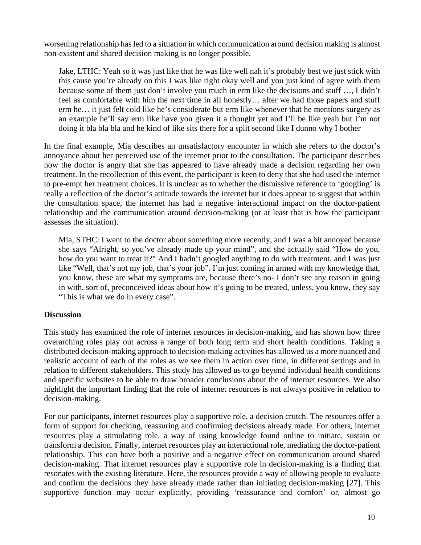worsening relationship has led to a situation in which communication around decision making is almost non-existent and shared decision making is no longer possible.

Jake, LTHC: Yeah so it was just like that he was like well nah it's probably best we just stick with this cause you're already on this I was like right okay well and you just kind of agree with them because some of them just don't involve you much in erm like the decisions and stuff …, I didn't feel as comfortable with him the next time in all honestly… after we had those papers and stuff erm he… it just felt cold like he's considerate but erm like whenever that he mentions surgery as an example he'll say erm like have you given it a thought yet and I'll be like yeah but I'm not doing it bla bla bla and he kind of like sits there for a split second like I dunno why I bother

In the final example, Mia describes an unsatisfactory encounter in which she refers to the doctor's annoyance about her perceived use of the internet prior to the consultation. The participant describes how the doctor is angry that she has appeared to have already made a decision regarding her own treatment. In the recollection of this event, the participant is keen to deny that she had used the internet to pre-empt her treatment choices. It is unclear as to whether the dismissive reference to 'googling' is really a reflection of the doctor's attitude towards the internet but it does appear to suggest that within the consultation space, the internet has had a negative interactional impact on the doctor-patient relationship and the communication around decision-making (or at least that is how the participant assesses the situation).

Mia, STHC: I went to the doctor about something more recently, and I was a bit annoyed because she says "Alright, so you've already made up your mind", and she actually said "How do you, how do you want to treat it?" And I hadn't googled anything to do with treatment, and I was just like "Well, that's not my job, that's your job". I'm just coming in armed with my knowledge that, you know, these are what my symptoms are, because there's no- I don't see any reason in going in with, sort of, preconceived ideas about how it's going to be treated, unless, you know, they say "This is what we do in every case".

## **Discussion**

This study has examined the role of internet resources in decision-making, and has shown how three overarching roles play out across a range of both long term and short health conditions. Taking a distributed decision-making approach to decision-making activities has allowed us a more nuanced and realistic account of each of the roles as we see them in action over time, in different settings and in relation to different stakeholders. This study has allowed us to go beyond individual health conditions and specific websites to be able to draw broader conclusions about the of internet resources. We also highlight the important finding that the role of internet resources is not always positive in relation to decision-making.

For our participants, internet resources play a supportive role, a decision crutch. The resources offer a form of support for checking, reassuring and confirming decisions already made. For others, internet resources play a stimulating role, a way of using knowledge found online to initiate, sustain or transform a decision. Finally, internet resources play an interactional role, mediating the doctor-patient relationship. This can have both a positive and a negative effect on communication around shared decision-making. That internet resources play a supportive role in decision-making is a finding that resonates with the existing literature. Here, the resources provide a way of allowing people to evaluate and confirm the decisions they have already made rather than initiating decision-making [27]. This supportive function may occur explicitly, providing 'reassurance and comfort' or, almost go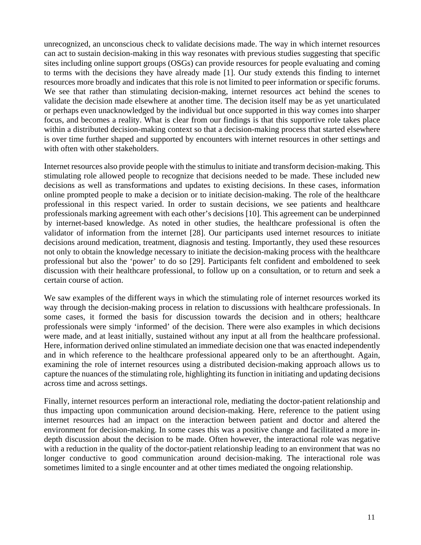unrecognized, an unconscious check to validate decisions made. The way in which internet resources can act to sustain decision-making in this way resonates with previous studies suggesting that specific sites including online support groups (OSGs) can provide resources for people evaluating and coming to terms with the decisions they have already made [1]. Our study extends this finding to internet resources more broadly and indicates that this role is not limited to peer information or specific forums. We see that rather than stimulating decision-making, internet resources act behind the scenes to validate the decision made elsewhere at another time. The decision itself may be as yet unarticulated or perhaps even unacknowledged by the individual but once supported in this way comes into sharper focus, and becomes a reality. What is clear from our findings is that this supportive role takes place within a distributed decision-making context so that a decision-making process that started elsewhere is over time further shaped and supported by encounters with internet resources in other settings and with often with other stakeholders.

Internet resources also provide people with the stimulus to initiate and transform decision-making. This stimulating role allowed people to recognize that decisions needed to be made. These included new decisions as well as transformations and updates to existing decisions. In these cases, information online prompted people to make a decision or to initiate decision-making. The role of the healthcare professional in this respect varied. In order to sustain decisions, we see patients and healthcare professionals marking agreement with each other's decisions [10]. This agreement can be underpinned by internet-based knowledge. As noted in other studies, the healthcare professional is often the validator of information from the internet [28]. Our participants used internet resources to initiate decisions around medication, treatment, diagnosis and testing. Importantly, they used these resources not only to obtain the knowledge necessary to initiate the decision-making process with the healthcare professional but also the 'power' to do so [29]. Participants felt confident and emboldened to seek discussion with their healthcare professional, to follow up on a consultation, or to return and seek a certain course of action.

We saw examples of the different ways in which the stimulating role of internet resources worked its way through the decision-making process in relation to discussions with healthcare professionals. In some cases, it formed the basis for discussion towards the decision and in others; healthcare professionals were simply 'informed' of the decision. There were also examples in which decisions were made, and at least initially, sustained without any input at all from the healthcare professional. Here, information derived online stimulated an immediate decision one that was enacted independently and in which reference to the healthcare professional appeared only to be an afterthought. Again, examining the role of internet resources using a distributed decision-making approach allows us to capture the nuances of the stimulating role, highlighting its function in initiating and updating decisions across time and across settings.

Finally, internet resources perform an interactional role, mediating the doctor-patient relationship and thus impacting upon communication around decision-making. Here, reference to the patient using internet resources had an impact on the interaction between patient and doctor and altered the environment for decision-making. In some cases this was a positive change and facilitated a more indepth discussion about the decision to be made. Often however, the interactional role was negative with a reduction in the quality of the doctor-patient relationship leading to an environment that was no longer conductive to good communication around decision-making. The interactional role was sometimes limited to a single encounter and at other times mediated the ongoing relationship.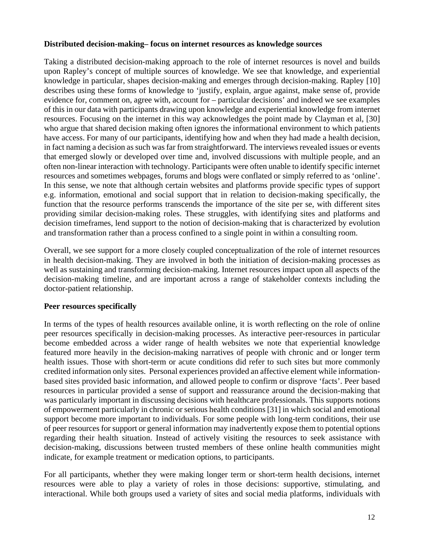#### **Distributed decision-making– focus on internet resources as knowledge sources**

Taking a distributed decision-making approach to the role of internet resources is novel and builds upon Rapley's concept of multiple sources of knowledge. We see that knowledge, and experiential knowledge in particular, shapes decision-making and emerges through decision-making. Rapley [10] describes using these forms of knowledge to 'justify, explain, argue against, make sense of, provide evidence for, comment on, agree with, account for – particular decisions' and indeed we see examples of this in our data with participants drawing upon knowledge and experiential knowledge from internet resources. Focusing on the internet in this way acknowledges the point made by Clayman et al, [30] who argue that shared decision making often ignores the informational environment to which patients have access. For many of our participants, identifying how and when they had made a health decision, in fact naming a decision as such was far from straightforward. The interviews revealed issues or events that emerged slowly or developed over time and, involved discussions with multiple people, and an often non-linear interaction with technology. Participants were often unable to identify specific internet resources and sometimes webpages, forums and blogs were conflated or simply referred to as 'online'. In this sense, we note that although certain websites and platforms provide specific types of support e.g. information, emotional and social support that in relation to decision-making specifically, the function that the resource performs transcends the importance of the site per se, with different sites providing similar decision-making roles. These struggles, with identifying sites and platforms and decision timeframes, lend support to the notion of decision-making that is characterized by evolution and transformation rather than a process confined to a single point in within a consulting room.

Overall, we see support for a more closely coupled conceptualization of the role of internet resources in health decision-making. They are involved in both the initiation of decision-making processes as well as sustaining and transforming decision-making. Internet resources impact upon all aspects of the decision-making timeline, and are important across a range of stakeholder contexts including the doctor-patient relationship.

#### **Peer resources specifically**

In terms of the types of health resources available online, it is worth reflecting on the role of online peer resources specifically in decision-making processes. As interactive peer-resources in particular become embedded across a wider range of health websites we note that experiential knowledge featured more heavily in the decision-making narratives of people with chronic and or longer term health issues. Those with short-term or acute conditions did refer to such sites but more commonly credited information only sites. Personal experiences provided an affective element while informationbased sites provided basic information, and allowed people to confirm or disprove 'facts'. Peer based resources in particular provided a sense of support and reassurance around the decision-making that was particularly important in discussing decisions with healthcare professionals. This supports notions of empowerment particularly in chronic or serious health conditions [31] in which social and emotional support become more important to individuals. For some people with long-term conditions, their use of peer resources for support or general information may inadvertently expose them to potential options regarding their health situation. Instead of actively visiting the resources to seek assistance with decision-making, discussions between trusted members of these online health communities might indicate, for example treatment or medication options, to participants.

For all participants, whether they were making longer term or short-term health decisions, internet resources were able to play a variety of roles in those decisions: supportive, stimulating, and interactional. While both groups used a variety of sites and social media platforms, individuals with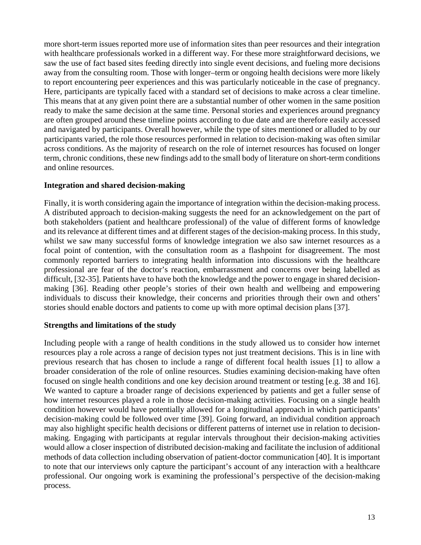more short-term issues reported more use of information sites than peer resources and their integration with healthcare professionals worked in a different way. For these more straightforward decisions, we saw the use of fact based sites feeding directly into single event decisions, and fueling more decisions away from the consulting room. Those with longer–term or ongoing health decisions were more likely to report encountering peer experiences and this was particularly noticeable in the case of pregnancy. Here, participants are typically faced with a standard set of decisions to make across a clear timeline. This means that at any given point there are a substantial number of other women in the same position ready to make the same decision at the same time. Personal stories and experiences around pregnancy are often grouped around these timeline points according to due date and are therefore easily accessed and navigated by participants. Overall however, while the type of sites mentioned or alluded to by our participants varied, the role those resources performed in relation to decision-making was often similar across conditions. As the majority of research on the role of internet resources has focused on longer term, chronic conditions, these new findings add to the small body of literature on short-term conditions and online resources.

## **Integration and shared decision-making**

Finally, it is worth considering again the importance of integration within the decision-making process. A distributed approach to decision-making suggests the need for an acknowledgement on the part of both stakeholders (patient and healthcare professional) of the value of different forms of knowledge and its relevance at different times and at different stages of the decision-making process. In this study, whilst we saw many successful forms of knowledge integration we also saw internet resources as a focal point of contention, with the consultation room as a flashpoint for disagreement. The most commonly reported barriers to integrating health information into discussions with the healthcare professional are fear of the doctor's reaction, embarrassment and concerns over being labelled as difficult, [32-35]. Patients have to have both the knowledge and the power to engage in shared decisionmaking [36]. Reading other people's stories of their own health and wellbeing and empowering individuals to discuss their knowledge, their concerns and priorities through their own and others' stories should enable doctors and patients to come up with more optimal decision plans [37].

## **Strengths and limitations of the study**

Including people with a range of health conditions in the study allowed us to consider how internet resources play a role across a range of decision types not just treatment decisions. This is in line with previous research that has chosen to include a range of different focal health issues [1] to allow a broader consideration of the role of online resources. Studies examining decision-making have often focused on single health conditions and one key decision around treatment or testing [e.g. 38 and 16]. We wanted to capture a broader range of decisions experienced by patients and get a fuller sense of how internet resources played a role in those decision-making activities. Focusing on a single health condition however would have potentially allowed for a longitudinal approach in which participants' decision-making could be followed over time [39]. Going forward, an individual condition approach may also highlight specific health decisions or different patterns of internet use in relation to decisionmaking. Engaging with participants at regular intervals throughout their decision-making activities would allow a closer inspection of distributed decision-making and facilitate the inclusion of additional methods of data collection including observation of patient-doctor communication [40]. It is important to note that our interviews only capture the participant's account of any interaction with a healthcare professional. Our ongoing work is examining the professional's perspective of the decision-making process.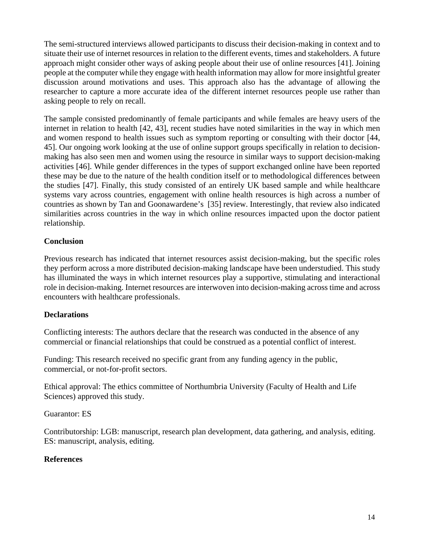The semi-structured interviews allowed participants to discuss their decision-making in context and to situate their use of internet resources in relation to the different events, times and stakeholders. A future approach might consider other ways of asking people about their use of online resources [41]. Joining people at the computer while they engage with health information may allow for more insightful greater discussion around motivations and uses. This approach also has the advantage of allowing the researcher to capture a more accurate idea of the different internet resources people use rather than asking people to rely on recall.

The sample consisted predominantly of female participants and while females are heavy users of the internet in relation to health [42, 43], recent studies have noted similarities in the way in which men and women respond to health issues such as symptom reporting or consulting with their doctor [44, 45]. Our ongoing work looking at the use of online support groups specifically in relation to decisionmaking has also seen men and women using the resource in similar ways to support decision-making activities [46]. While gender differences in the types of support exchanged online have been reported these may be due to the nature of the health condition itself or to methodological differences between the studies [47]. Finally, this study consisted of an entirely UK based sample and while healthcare systems vary across countries, engagement with online health resources is high across a number of countries as shown by Tan and Goonawardene's [35] review. Interestingly, that review also indicated similarities across countries in the way in which online resources impacted upon the doctor patient relationship.

# **Conclusion**

Previous research has indicated that internet resources assist decision-making, but the specific roles they perform across a more distributed decision-making landscape have been understudied. This study has illuminated the ways in which internet resources play a supportive, stimulating and interactional role in decision-making. Internet resources are interwoven into decision-making across time and across encounters with healthcare professionals.

# **Declarations**

Conflicting interests: The authors declare that the research was conducted in the absence of any commercial or financial relationships that could be construed as a potential conflict of interest.

Funding: This research received no specific grant from any funding agency in the public, commercial, or not-for-profit sectors.

Ethical approval: The ethics committee of Northumbria University (Faculty of Health and Life Sciences) approved this study.

Guarantor: ES

Contributorship: LGB: manuscript, research plan development, data gathering, and analysis, editing. ES: manuscript, analysis, editing.

# **References**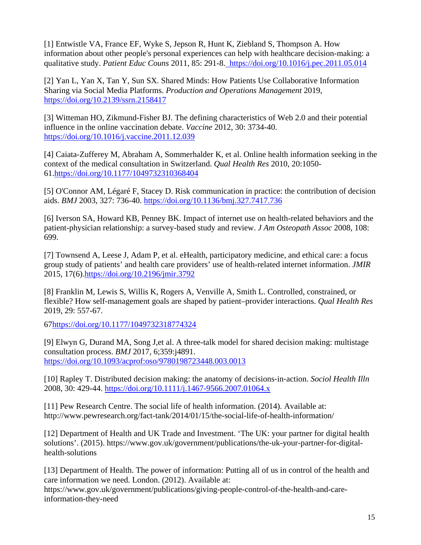[1] Entwistle VA, France EF, Wyke S, Jepson R, Hunt K, Ziebland S, Thompson A. How information about other people's personal experiences can help with healthcare decision-making: a qualitative study. *Patient Educ Couns* 2011, 85: 291-8. <https://doi.org/10.1016/j.pec.2011.05.014>

[2] Yan L, Yan X, Tan Y, Sun SX. Shared Minds: How Patients Use Collaborative Information Sharing via Social Media Platforms. *Production and Operations Management* 2019, <https://doi.org/10.2139/ssrn.2158417>

[3] Witteman HO, Zikmund-Fisher BJ. The defining characteristics of Web 2.0 and their potential influence in the online vaccination debate. *Vaccine* 2012, 30: 3734-40. <https://doi.org/10.1016/j.vaccine.2011.12.039>

[4] Caiata-Zufferey M, Abraham A, Sommerhalder K, et al. Online health information seeking in the context of the medical consultation in Switzerland. *Qual Health Res* 2010, 20:1050- 61[.https://doi.org/10.1177/1049732310368404](https://doi.org/10.1177/1049732310368404)

[5] O'Connor AM, Légaré F, Stacey D. Risk communication in practice: the contribution of decision aids. *BMJ* 2003, 327: 736-40.<https://doi.org/10.1136/bmj.327.7417.736>

[6] Iverson SA, Howard KB, Penney BK. Impact of internet use on health-related behaviors and the patient-physician relationship: a survey-based study and review. *J Am Osteopath Assoc* 2008, 108: 699.

[7] Townsend A, Leese J, Adam P, et al. eHealth, participatory medicine, and ethical care: a focus group study of patients' and health care providers' use of health-related internet information. *JMIR* 2015, 17(6)[.https://doi.org/10.2196/jmir.3792](https://doi.org/10.2196/jmir.3792)

[8] Franklin M, Lewis S, Willis K, Rogers A, Venville A, Smith L. Controlled, constrained, or flexible? How self-management goals are shaped by patient–provider interactions. *Qual Health Res* 2019, 29: 557-67.

6[7https://doi.org/10.1177/1049732318774324](https://doi.org/10.1177/1049732318774324)

[9] Elwyn G, Durand MA, Song J,et al. A three-talk model for shared decision making: multistage consultation process. *BMJ* 2017, 6;359:j4891. <https://doi.org/10.1093/acprof:oso/9780198723448.003.0013>

[10] Rapley T. Distributed decision making: the anatomy of decisions‐in‐action. *Sociol Health Illn* 2008, 30: 429-44.<https://doi.org/10.1111/j.1467-9566.2007.01064.x>

[11] Pew Research Centre. The social life of health information. (2014). Available at: http://www.pewresearch.org/fact-tank/2014/01/15/the-social-life-of-health-information/

[12] Department of Health and UK Trade and Investment. 'The UK: your partner for digital health solutions'. (2015). https://www.gov.uk/government/publications/the-uk-your-partner-for-digitalhealth-solutions

[13] Department of Health. The power of information: Putting all of us in control of the health and care information we need. London. (2012). Available at:

https://www.gov.uk/government/publications/giving-people-control-of-the-health-and-careinformation-they-need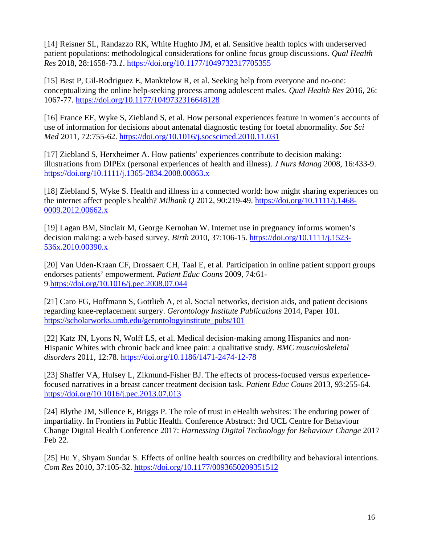[14] Reisner SL, Randazzo RK, White Hughto JM, et al. Sensitive health topics with underserved patient populations: methodological considerations for online focus group discussions. *Qual Health Res* 2018, 28:1658-73.*1*.<https://doi.org/10.1177/1049732317705355>

[15] Best P, Gil-Rodriguez E, Manktelow R, et al. Seeking help from everyone and no-one: conceptualizing the online help-seeking process among adolescent males. *Qual Health Res* 2016, 26: 1067-77.<https://doi.org/10.1177/1049732316648128>

[16] France EF, Wyke S, Ziebland S, et al. How personal experiences feature in women's accounts of use of information for decisions about antenatal diagnostic testing for foetal abnormality*. Soc Sci Med* 2011, 72:755-62.<https://doi.org/10.1016/j.socscimed.2010.11.031>

[17] Ziebland S, Herxheimer A. How patients' experiences contribute to decision making: illustrations from DIPEx (personal experiences of health and illness). *J Nurs Manag* 2008, 16:433-9. <https://doi.org/10.1111/j.1365-2834.2008.00863.x>

[18] Ziebland S, Wyke S. Health and illness in a connected world: how might sharing experiences on the internet affect people's health? *Milbank Q* 2012, 90:219-49. [https://doi.org/10.1111/j.1468-](https://doi.org/10.1111/j.1468-0009.2012.00662.x) [0009.2012.00662.x](https://doi.org/10.1111/j.1468-0009.2012.00662.x)

[19] Lagan BM, Sinclair M, George Kernohan W. Internet use in pregnancy informs women's decision making: a web‐based survey. *Birth* 2010, 37:106-15. [https://doi.org/10.1111/j.1523-](https://doi.org/10.1111/j.1523-536x.2010.00390.x) [536x.2010.00390.x](https://doi.org/10.1111/j.1523-536x.2010.00390.x)

[20] Van Uden-Kraan CF, Drossaert CH, Taal E, et al. Participation in online patient support groups endorses patients' empowerment. *Patient Educ Couns* 2009, 74:61- 9[.https://doi.org/10.1016/j.pec.2008.07.044](https://doi.org/10.1016/j.pec.2008.07.044)

[21] Caro FG, Hoffmann S, Gottlieb A, et al. Social networks, decision aids, and patient decisions regarding knee-replacement surgery. *Gerontology Institute Publications* 2014, Paper 101. [https://scholarworks.umb.edu/gerontologyinstitute\\_pubs/101](https://scholarworks.umb.edu/gerontologyinstitute_pubs/101)

[22] Katz JN, Lyons N, Wolff LS, et al. Medical decision-making among Hispanics and non-Hispanic Whites with chronic back and knee pain: a qualitative study. *BMC musculoskeletal disorders* 2011, 12:78.<https://doi.org/10.1186/1471-2474-12-78>

[23] Shaffer VA, Hulsey L, Zikmund-Fisher BJ. The effects of process-focused versus experiencefocused narratives in a breast cancer treatment decision task. *Patient Educ Couns* 2013, 93:255-64. <https://doi.org/10.1016/j.pec.2013.07.013>

[24] Blythe JM, Sillence E, Briggs P. The role of trust in eHealth websites: The enduring power of impartiality. In Frontiers in Public Health. Conference Abstract: 3rd UCL Centre for Behaviour Change Digital Health Conference 2017: *Harnessing Digital Technology for Behaviour Change* 2017 Feb 22.

[25] Hu Y, Shyam Sundar S. Effects of online health sources on credibility and behavioral intentions. *Com Res* 2010, 37:105-32.<https://doi.org/10.1177/0093650209351512>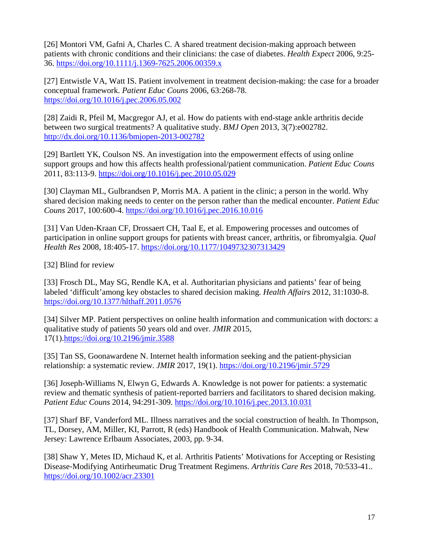[26] Montori VM, Gafni A, Charles C. A shared treatment decision‐making approach between patients with chronic conditions and their clinicians: the case of diabetes. *Health Expect* 2006, 9:25- 36.<https://doi.org/10.1111/j.1369-7625.2006.00359.x>

[27] Entwistle VA, Watt IS. Patient involvement in treatment decision-making: the case for a broader conceptual framework. *Patient Educ Couns* 2006, 63:268-78. https://doi.org/10.1016/j.pec.2006.05.002

[28] Zaidi R, Pfeil M, Macgregor AJ, et al. How do patients with end-stage ankle arthritis decide between two surgical treatments? A qualitative study. *BMJ Open* 2013, 3(7):e002782. <http://dx.doi.org/10.1136/bmjopen-2013-002782>

[29] Bartlett YK, Coulson NS. An investigation into the empowerment effects of using online support groups and how this affects health professional/patient communication. *Patient Educ Couns* 2011, 83:113-9. <https://doi.org/10.1016/j.pec.2010.05.029>

[30] Clayman ML, Gulbrandsen P, Morris MA. A patient in the clinic; a person in the world. Why shared decision making needs to center on the person rather than the medical encounter. *Patient Educ Couns* 2017, 100:600-4.<https://doi.org/10.1016/j.pec.2016.10.016>

[31] Van Uden-Kraan CF, Drossaert CH, Taal E, et al. Empowering processes and outcomes of participation in online support groups for patients with breast cancer, arthritis, or fibromyalgia. *Qual Health Res* 2008, 18:405-17.<https://doi.org/10.1177/1049732307313429>

[32] Blind for review

[33] Frosch DL, May SG, Rendle KA, et al. Authoritarian physicians and patients' fear of being labeled 'difficult'among key obstacles to shared decision making. *Health Affairs* 2012, 31:1030-8. <https://doi.org/10.1377/hlthaff.2011.0576>

[34] Silver MP. Patient perspectives on online health information and communication with doctors: a qualitative study of patients 50 years old and over. *JMIR* 2015, 17(1)[.https://doi.org/10.2196/jmir.3588](https://doi.org/10.2196/jmir.3588)

[35] Tan SS, Goonawardene N. Internet health information seeking and the patient-physician relationship: a systematic review. *JMIR* 2017, 19(1).<https://doi.org/10.2196/jmir.5729>

[36] Joseph-Williams N, Elwyn G, Edwards A. Knowledge is not power for patients: a systematic review and thematic synthesis of patient-reported barriers and facilitators to shared decision making. *Patient Educ Couns* 2014, 94:291-309.<https://doi.org/10.1016/j.pec.2013.10.031>

[37] Sharf BF, Vanderford ML. Illness narratives and the social construction of health. In Thompson, TL, Dorsey, AM, Miller, KI, Parrott, R (eds) Handbook of Health Communication. Mahwah, New Jersey: Lawrence Erlbaum Associates, 2003, pp. 9-34.

[38] Shaw Y, Metes ID, Michaud K, et al. Arthritis Patients' Motivations for Accepting or Resisting Disease‐Modifying Antirheumatic Drug Treatment Regimens. *Arthritis Care Res* 2018, 70:533-41.. <https://doi.org/10.1002/acr.23301>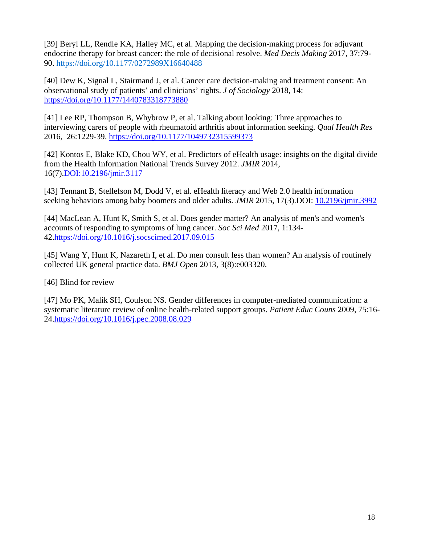[39] Beryl LL, Rendle KA, Halley MC, et al. Mapping the decision-making process for adjuvant endocrine therapy for breast cancer: the role of decisional resolve. *Med Decis Making* 2017, 37:79- 90. [https://doi.org/10.1177/0272989X16640488](https://doi.org/10.1177%2F0272989X16640488)

[40] Dew K, Signal L, Stairmand J, et al. Cancer care decision-making and treatment consent: An observational study of patients' and clinicians' rights. *J of Sociology* 2018, 14: [https://doi.org/10.1177/1440783318773880](https://doi.org/10.1177%2F1440783318773880)

[41] Lee RP, Thompson B, Whybrow P, et al. Talking about looking: Three approaches to interviewing carers of people with rheumatoid arthritis about information seeking. *Qual Health Res* 2016, 26:1229-39. [https://doi.org/10.1177/1049732315599373](https://doi.org/10.1177%2F1049732315599373)

[42] Kontos E, Blake KD, Chou WY, et al. Predictors of eHealth usage: insights on the digital divide from the Health Information National Trends Survey 2012. *JMIR* 2014, 16(7)[.DOI:10.2196/jmir.3117](http://doi.org/10.2196/jmir.3117)

[43] Tennant B, Stellefson M, Dodd V, et al. eHealth literacy and Web 2.0 health information seeking behaviors among baby boomers and older adults. *JMIR* 2015, 17(3).DOI: [10.2196/jmir.3992](https://dx.doi.org/10.2196%2Fjmir.3992)

[44] MacLean A, Hunt K, Smith S, et al. Does gender matter? An analysis of men's and women's accounts of responding to symptoms of lung cancer. *Soc Sci Med* 2017, 1:134- 42[.https://doi.org/10.1016/j.socscimed.2017.09.015](https://doi.org/10.1016/j.socscimed.2017.09.015)

[45] Wang Y, Hunt K, Nazareth I, et al. Do men consult less than women? An analysis of routinely collected UK general practice data. *BMJ Open* 2013, 3(8):e003320.

[46] Blind for review

[47] Mo PK, Malik SH, Coulson NS. Gender differences in computer-mediated communication: a systematic literature review of online health-related support groups. *Patient Educ Couns* 2009, 75:16- 24[.https://doi.org/10.1016/j.pec.2008.08.029](https://doi.org/10.1016/j.pec.2008.08.029)